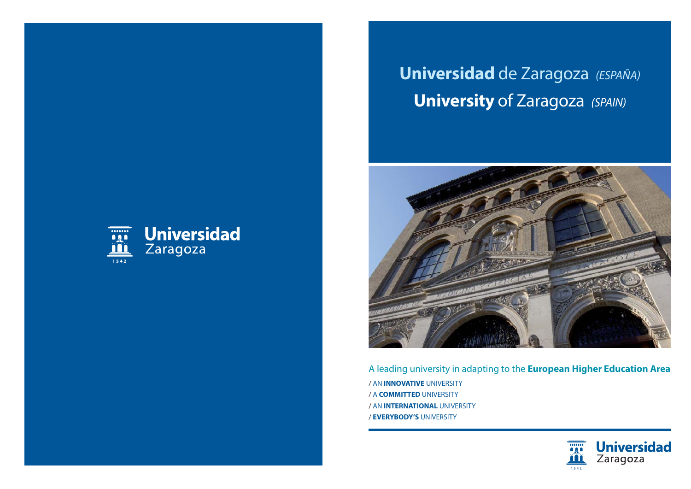## **Universidad** de Zaragoza (ESPAÑA) **University of Zaragoza (SPAIN)**





A leading university in adapting to the **European Higher Education Area**  / AN **INNOVATIVE** UNIVERSITY / A **COMMITTED** UNIVERSITY / AN **INTERNATIONAL** UNIVERSITY / **EVERYBODY'S** UNIVERSITY

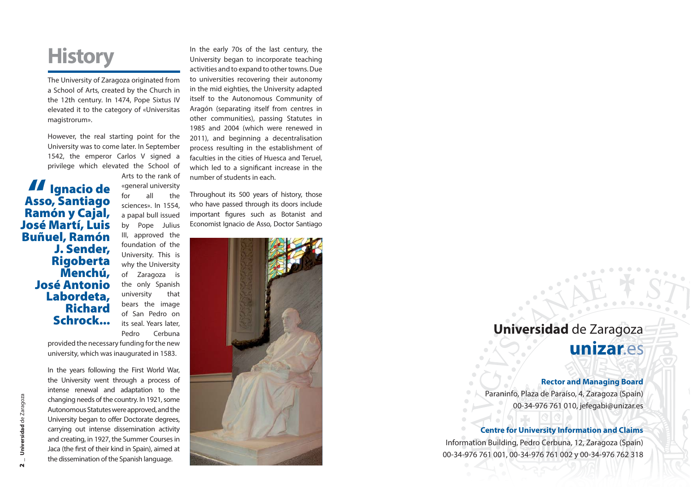## **History**

The University of Zaragoza originated from a School of Arts, created by the Church in the 12th century. In 1474, Pope Sixtus IV elevated it to the category of «Universitas magistrorum».

However, the real starting point for the University was to come later. In September 1542, the emperor Carlos V signed a privilege which elevated the School of

**Ignacio de Asso, Santiago Ramón y Cajal, José Martí, Luis Buñuel, Ramón J. Sender, Rigoberta Menchú, José Antonio Labordeta, Richard Schrock..."**

Arts to the rank of «general university for all the sciences». In 1554, a papal bull issued by Pope Julius III, approved the foundation of the University. This is why the University of Zaragoza is the only Spanish university that bears the image of San Pedro on its seal. Years later, Pedro Cerbuna

provided the necessary funding for the new university, which was inaugurated in 1583.

In the years following the First World War, the University went through a process of intense renewal and adaptation to the changing needs of the country. In 1921, some Autonomous Statutes were approved, and the University began to offer Doctorate degrees, carrying out intense dissemination activity and creating, in 1927, the Summer Courses in Jaca (the first of their kind in Spain), aimed at the dissemination of the Spanish language.

In the early 70s of the last century, the University began to incorporate teaching activities and to expand to other towns. Due to universities recovering their autonomy in the mid eighties, the University adapted itself to the Autonomous Community of Aragón (separating itself from centres in other communities), passing Statutes in 1985 and 2004 (which were renewed in 2011), and beginning a decentralisation process resulting in the establishment of faculties in the cities of Huesca and Teruel, which led to a significant increase in the number of students in each.

Throughout its 500 years of history, those who have passed through its doors include important figures such as Botanist and Economist Ignacio de Asso, Doctor Santiago



## **Universidad** de Zaragoza

unizar.es

### **Rector and Managing Board**

Paraninfo, Plaza de Paraíso, 4, Zaragoza (Spain) 00-34-976 761 010, jefegabi@unizar.es

### **Centre for University Information and Claims**

Information Building, Pedro Cerbuna, 12, Zaragoza (Spain) 00-34-976 761 001, 00-34-976 761 002 y 00-34-976 762 318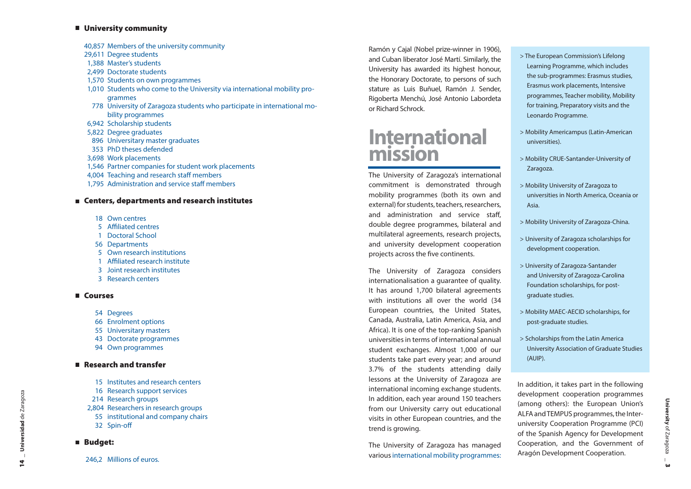#### **University community**

- 40,857 Members of the university community
- 29,611 Degree students
- 1,388 Master's students
- 2,499 Doctorate students
- 1,570 Students on own programmes
- 1,010 Students who come to the University via international mobility programmes
- 778 University of Zaragoza students who participate in international mobility programmes
- 6,942 Scholarship students
- 5,822 Degree graduates
- 896 Universitary master graduates
- 353 PhD theses defended
- 3,698 Work placements
- 1,546 Partner companies for student work placements
- 4,004 Teaching and research staff members
- 1,795 Administration and service staff members

### **Centers, departments and research institutes**

- 18 Own centres
- 5 Affiliated centres
- 1 Doctoral School
	- 56 Departments
- 5 Own research institutions
	- 1 Affiliated research institute
- 3 Joint research institutes
	- 3 Research centers

### **Courses**

- 54 Degrees
- 66 Enrolment options
- 55 Universitary masters
- 43 Doctorate programmes
- 94 Own programmes

### **Research and transfer**

- 15 Institutes and research centers
	- 16 Research support services
- 214 Research groups
- 2,804 Researchers in research groups
- 55 institutional and company chairs
- 32 Spin-off

### **Budget:**

246.2 Millions of euros.

Ramón y Cajal (Nobel prize-winner in 1906), and Cuban liberator José Martí. Similarly, the University has awarded its highest honour, the Honorary Doctorate, to persons of such stature as Luis Buñuel, Ramón J. Sender, Rigoberta Menchú, José Antonio Labordeta or Richard Schrock.

### **International mission**

The University of Zaragoza's international commitment is demonstrated through mobility programmes (both its own and external) for students, teachers, researchers, and administration and service staff, double degree programmes, bilateral and multilateral agreements, research projects, and university development cooperation projects across the five continents.

The University of Zaragoza considers internationalisation a guarantee of quality. It has around 1,700 bilateral agreements with institutions all over the world (34 European countries, the United States, Canada, Australia, Latin America, Asia, and Africa). It is one of the top-ranking Spanish universities in terms of international annual student exchanges. Almost 1,000 of our students take part every year; and around 3.7% of the students attending daily lessons at the University of Zaragoza are international incoming exchange students. In addition, each year around 150 teachers from our University carry out educational visits in other European countries, and the trend is growing.

The University of Zaragoza has managed various international mobility programmes:

- > The European Commission's Lifelong Learning Programme, which includes the sub-programmes: Erasmus studies, Erasmus work placements, Intensive programmes, Teacher mobility, Mobility for training, Preparatory visits and the Leonardo Programme.
- > Mobility Americampus (Latin-American universities).
- > Mobility CRUE-Santander-University of Zaragoza.
- > Mobility University of Zaragoza to universities in North America, Oceania or Asia.
- > Mobility University of Zaragoza-China.
- > University of Zaragoza scholarships for development cooperation.
- > University of Zaragoza-Santander and University of Zaragoza-Carolina Foundation scholarships, for postgraduate studies.
- > Mobility MAEC-AECID scholarships, for post-graduate studies.
- > Scholarships from the Latin America University Association of Graduate Studies (AUIP).

In addition, it takes part in the following development cooperation programmes (among others): the European Union's ALFA and TEMPUS programmes, the Interuniversity Cooperation Programme (PCI) of the Spanish Agency for Development Cooperation, and the Government of Aragón Development Cooperation.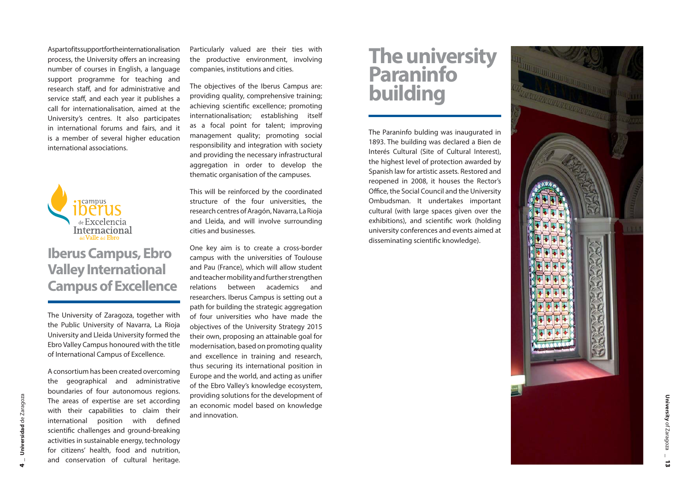As part of its support for the internationalisation process, the University offers an increasing number of courses in English, a language support programme for teaching and research staff, and for administrative and service staff, and each year it publishes a call for internationalisation, aimed at the University's centres. It also participates in international forums and fairs, and it is a member of several higher education international associations.



### **Iberus Campus, Ebro Valley International Campus of Excellence**

The University of Zaragoza, together with the Public University of Navarra, La Rioja University and Lleida University formed the Ebro Valley Campus honoured with the title of International Campus of Excellence.

A consortium has been created overcoming the geographical and administrative boundaries of four autonomous regions. The areas of expertise are set according with their capabilities to claim their international position with defined scientific challenges and ground-breaking activities in sustainable energy, technology for citizens' health, food and nutrition, and conservation of cultural heritage.

Particularly valued are their ties with the productive environment, involving companies, institutions and cities.

The objectives of the Iberus Campus are: providing quality, comprehensive training; achieving scientific excellence; promoting internationalisation; establishing itself as a focal point for talent; improving management quality; promoting social responsibility and integration with society and providing the necessary infrastructural aggregation in order to develop the thematic organisation of the campuses.

This will be reinforced by the coordinated structure of the four universities, the research centres of Aragón, Navarra, La Rioja and Lleida, and will involve surrounding cities and businesses.

One key aim is to create a cross-border campus with the universities of Toulouse and Pau (France), which will allow student and teacher mobility and further strengthen relations between academics and researchers. Iberus Campus is setting out a path for building the strategic aggregation of four universities who have made the objectives of the University Strategy 2015 their own, proposing an attainable goal for modernisation, based on promoting quality and excellence in training and research, thus securing its international position in Europe and the world, and acting as unifier of the Ebro Valley's knowledge ecosystem, providing solutions for the development of an economic model based on knowledge and innovation.

## **The university Paraninfo building**

The Paraninfo bulding was inaugurated in 1893. The building was declared a Bien de Interés Cultural (Site of Cultural Interest), the highest level of protection awarded by Spanish law for artistic assets. Restored and reopened in 2008, it houses the Rector's Office, the Social Council and the University Ombudsman. It undertakes important cultural (with large spaces given over the exhibitions), and scientific work (holding university conferences and events aimed at disseminating scientific knowledge).

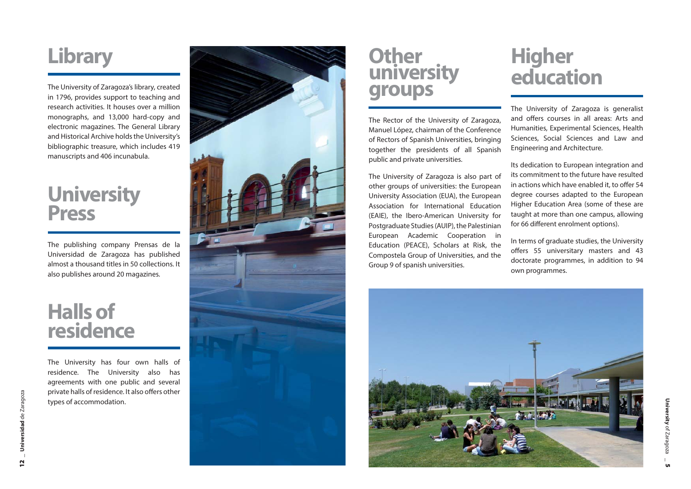## **Library**

The University of Zaragoza's library, created in 1796, provides support to teaching and research activities. It houses over a million monographs, and 13,000 hard-copy and electronic magazines. The General Library and Historical Archive holds the University's bibliographic treasure, which includes 419 manuscripts and 406 incunabula.

# **University Press**

The publishing company Prensas de la Universidad de Zaragoza has published almost a thousand titles in 50 collections. It also publishes around 20 magazines.

## **Halls of residence**

The University has four own halls of residence. The University also has agreements with one public and several private halls of residence. It also offers other types of accommodation.



### **Other university groups**

The Rector of the University of Zaragoza, Manuel López, chairman of the Conference of Rectors of Spanish Universities, bringing together the presidents of all Spanish public and private universities.

The University of Zaragoza is also part of other groups of universities: the European University Association (EUA), the European Association for International Education (EAIE), the Ibero-American University for Postgraduate Studies (AUIP), the Palestinian European Academic Cooperation in Education (PEACE), Scholars at Risk, the Compostela Group of Universities, and the Group 9 of spanish universities.

## **Higher education**

The University of Zaragoza is generalist and offers courses in all areas: Arts and Humanities, Experimental Sciences, Health Sciences, Social Sciences and Law and Engineering and Architecture.

Its dedication to European integration and its commitment to the future have resulted in actions which have enabled it, to offer 54 degree courses adapted to the European Higher Education Area (some of these are taught at more than one campus, allowing for 66 different enrolment options).

In terms of graduate studies, the University offers 55 universitary masters and 43 doctorate programmes, in addition to 94 own programmes.

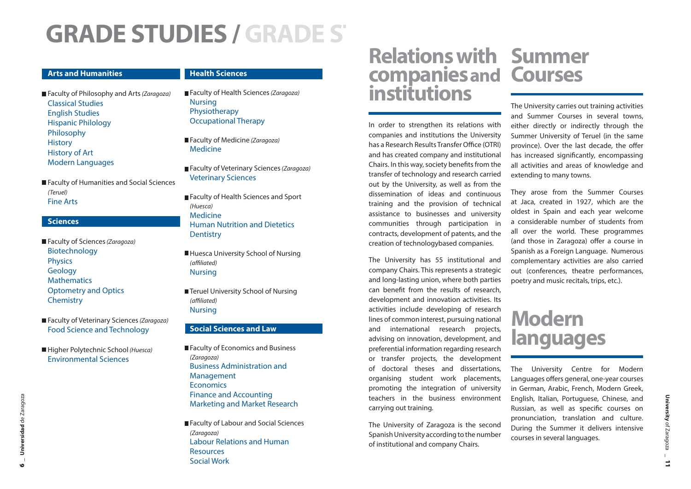## **GRADE STUDIES /GRADE S T**

#### **Arts and Humanities**

#### **Health Sciences**

Faculty of Philosophy and Arts (Zaragoza) Classical StudiesEnglish Studies Hispanic Philology Philosophy **History** History of Art Modern Languages

■ Faculty of Humanities and Social Sciences (Teruel) Fine Arts

#### **Sciences**

Faculty of Sciences (Zaragoza) Biotechnology Physics **Geology Mathematics** Optometry and Optics **Chemistry** 

Faculty of Veterinary Sciences (Zaragoza) Food Science and Technology

Higher Polytechnic School (Huesca) Environmental Sciences

### Faculty of Health Sciences (Zaragoza)

Nursing Physiotherapy Occupational Therapy

Faculty of Medicine (Zaragoza) Medicine

Faculty of Veterinary Sciences (Zaragoza) Veterinary Sciences

Faculty of Health Sciences and Sport (Huesca) MedicineHuman Nutrition and Dietetics **Dentistry** 

■ Huesca University School of Nursing (affiliated) Nursing

■ Teruel University School of Nursing (affiliated) Nursing

### **Social Sciences and Law**

Faculty of Economics and Business (Zaragoza) Business Administration and Management **Economics** Finance and Accounting Marketing and Market Research

■ Faculty of Labour and Social Sciences (Zaragoza) Labour Relations and Human ResourcesSocial Work

## **Relations with Summer companies and Courses<br>institutions**

In order to strengthen its relations with companies and institutions the University has a Research Results Transfer Office (OTRI) and has created company and institutional Chairs. In this way, society benefits from the transfer of technology and research carried out by the University, as well as from the dissemination of ideas and continuous training and the provision of technical assistance to businesses and university communities through participation in contracts, development of patents, and the creation of technologybased companies.

The University has 55 institutional and company Chairs. This represents a strategic and long-lasting union, where both parties can benefit from the results of research. development and innovation activities. Its activities include developing of research lines of common interest, pursuing national and international research projects, advising on innovation, development, and preferential information regarding research or transfer projects, the development of doctoral theses and dissertations, organising student work placements, promoting the integration of university teachers in the business environment carrying out training.

The University of Zaragoza is the second Spanish University according to the number of institutional and company Chairs.

### The University carries out training activities and Summer Courses in several towns, either directly or indirectly through the Summer University of Teruel (in the same province). Over the last decade, the offer has increased significantly, encompassing all activities and areas of knowledge and extending to many towns.

They arose from the Summer Courses at Jaca, created in 1927, which are the oldest in Spain and each year welcome a considerable number of students from all over the world. These programmes (and those in Zaragoza) offer a course in Spanish as a Foreign Language. Numerous complementary activities are also carried out (conferences, theatre performances, poetry and music recitals, trips, etc.).

## **Modern languages**

The University Centre for Modern Languages offers general, one-year courses in German, Arabic, French, Modern Greek, English, Italian, Portuguese, Chinese, and Russian, as well as specific courses on pronunciation, translation and culture. During the Summer it delivers intensive courses in several languages.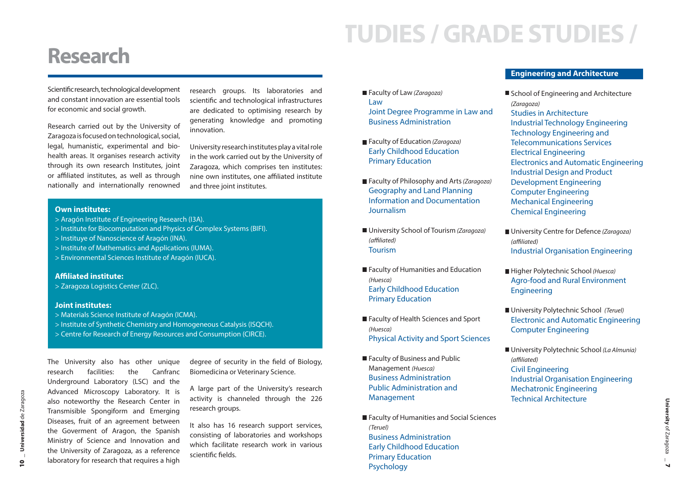## **TUDIES / GRADE STUDIES /**

### **Research**

Scientific research, technological development and constant innovation are essential tools for economic and social growth.

Research carried out by the University of Zaragoza is focused on technological, social, legal, humanistic, experimental and biohealth areas. It organises research activity through its own research Institutes, joint or affiliated institutes, as well as through nationally and internationally renowned research groups. Its laboratories and scientific and technological infrastructures are dedicated to optimising research by generating knowledge and promoting innovation.

University research institutes play a vital role in the work carried out by the University of Zaragoza, which comprises ten institutes: nine own institutes, one affiliated institute and three joint institutes.

### **Own institutes:**

- > Aragón Institute of Engineering Research (I3A).
- > Institute for Biocomputation and Physics of Complex Systems (BIFI).
- > Instituye of Nanoscience of Aragón (INA).
- > Institute of Mathematics and Applications (IUMA).
- > Environmental Sciences Institute of Aragón (IUCA).

#### **Affi liated institute:**

> Zaragoza Logistics Center (ZLC).

#### **Joint institutes:**

> Materials Science Institute of Aragón (ICMA).

Diseases, fruit of an agreement between the Goverment of Aragon, the Spanish Ministry of Science and Innovation and the University of Zaragoza, as a reference laboratory for research that requires a high

- > Institute of Synthetic Chemistry and Homogeneous Catalysis (ISQCH).
- > Centre for Research of Energy Resources and Consumption (CIRCE).

The University also has other unique research facilities: the Canfranc Underground Laboratory (LSC) and the Advanced Microscopy Laboratory. It is also noteworthy the Research Center in Transmisible Spongiform and Emerging degree of security in the field of Biology, Biomedicina or Veterinary Science. A large part of the University's research activity is channeled through the 226 research groups.

> It also has 16 research support services, consisting of laboratories and workshops which facilitate research work in various scientific fields.

- Faculty of Law (Zaragoza) LawJoint Degree Programme in Law and Business Administration
- Faculty of Education (Zaragoza) Early Childhood Education Primary Education
- Faculty of Philosophy and Arts (Zaragoza) Geography and Land Planning Information and DocumentationJournalism
- University School of Tourism (Zaragoza) (affiliated) Tourism
- Faculty of Humanities and Education (Huesca) Early Childhood Education Primary Education
- Faculty of Health Sciences and Sport (Huesca) Physical Activity and Sport Sciences
- Faculty of Business and Public Management (Huesca) Business AdministrationPublic Administration and Management
- Faculty of Humanities and Social Sciences (Teruel) Business Administration Early Childhood Education Primary Education Psychology

### **Engineering and Architecture**

School of Engineering and Architecture (Zaragoza) Studies in Architecture Industrial Technology Engineering Technology Engineering and Telecommunications ServicesElectrical Engineering Electronics and Automatic Engineering Industrial Design and Product Development Engineering Computer Engineering Mechanical Engineering Chemical Engineering

- University Centre for Defence (Zaragoza) (affiliated) Industrial Organisation Engineering
- Higher Polytechnic School (Huesca) Agro-food and Rural Environment **Engineering**
- University Polytechnic School (Teruel) Electronic and Automatic Engineering Computer Engineering
- University Polytechnic School (La Almunia) (affiliated) Civil Engineering Industrial Organisation Engineering Mechatronic Engineering Technical Architecture